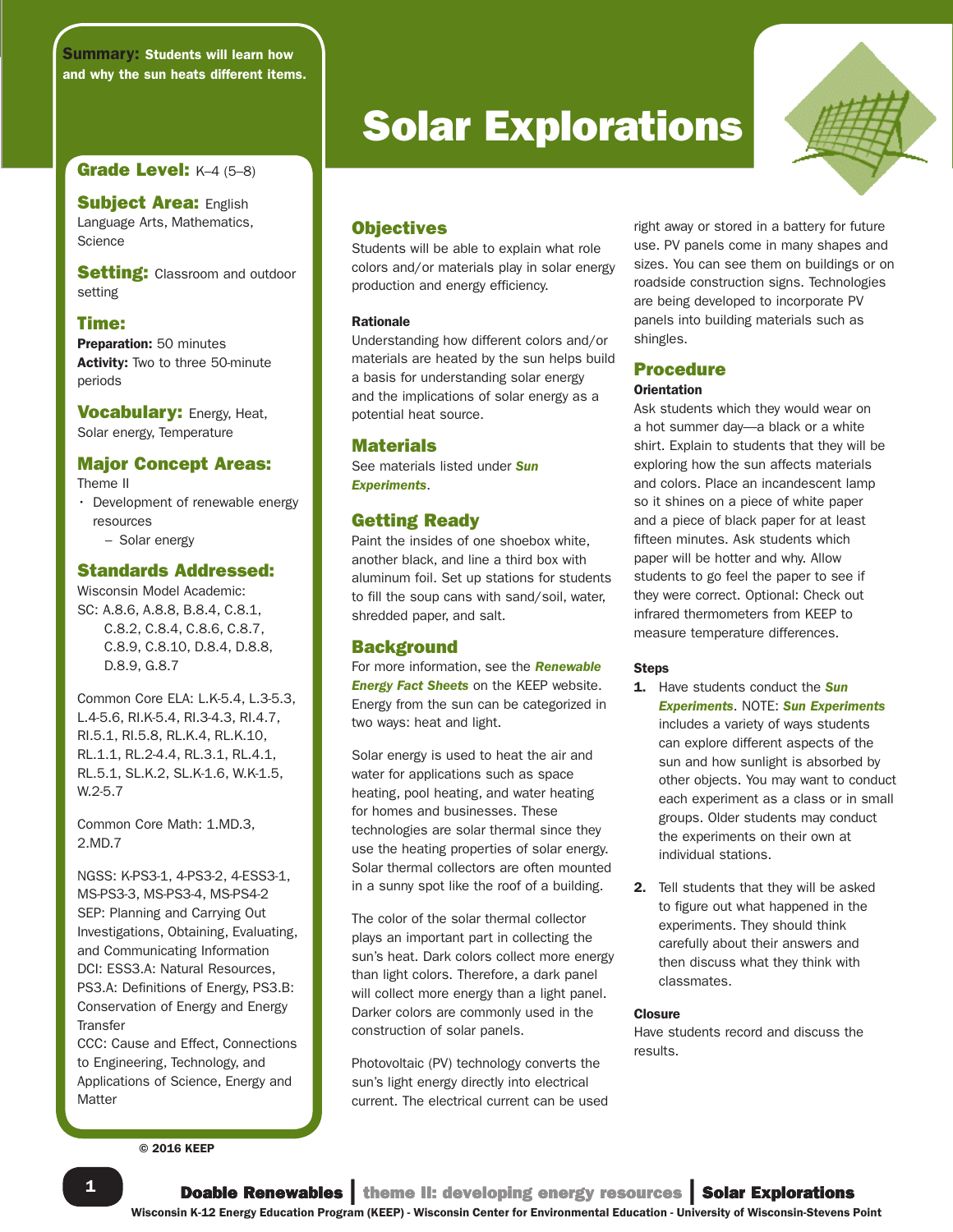Summary: Students will learn how and why the sun heats different items.

## **Grade Level: K-4 (5-8)**

**Subject Area: English** Language Arts, Mathematics, **Science** 

**Setting: Classroom and outdoor** setting

#### Time:

Preparation: 50 minutes Activity: Two to three 50-minute periods

**Vocabulary: Energy, Heat,** Solar energy, Temperature

## Major Concept Areas:

Theme II

• Development of renewable energy resources – Solar energy

## Standards Addressed:

Wisconsin Model Academic: SC: A.8.6, A.8.8, B.8.4, C.8.1, C.8.2, C.8.4, C.8.6, C.8.7, C.8.9, C.8.10, D.8.4, D.8.8, D.8.9, G.8.7

Common Core ELA: L.K-5.4, L.3-5.3, L.4-5.6, RI.K-5.4, RI.3-4.3, RI.4.7, RI.5.1, RI.5.8, RL.K.4, RL.K.10, RL.1.1, RL.2-4.4, RL.3.1, RL.4.1, RL.5.1, SL.K.2, SL.K-1.6, W.K-1.5, W.2-5.7

Common Core Math: 1.MD.3, 2.MD.7

NGSS: K-PS3-1, 4-PS3-2, 4-ESS3-1, MS-PS3-3, MS-PS3-4, MS-PS4-2 SEP: Planning and Carrying Out Investigations, Obtaining, Evaluating, and Communicating Information DCI: ESS3.A: Natural Resources, PS3.A: Definitions of Energy, PS3.B: Conservation of Energy and Energy **Transfer** 

CCC: Cause and Effect, Connections to Engineering, Technology, and Applications of Science, Energy and **Matter** 

**Solar Explorations** 



## **Objectives**

Students will be able to explain what role colors and/or materials play in solar energy production and energy efficiency.

#### Rationale

Understanding how different colors and/or materials are heated by the sun helps build a basis for understanding solar energy and the implications of solar energy as a potential heat source.

#### Materials

See materials listed under *Sun Experiments*.

## Getting Ready

Paint the insides of one shoebox white, another black, and line a third box with aluminum foil. Set up stations for students to fill the soup cans with sand/soil, water, shredded paper, and salt.

#### **Background**

For more information, see the *Renewable Energy Fact Sheets* on the KEEP website. Energy from the sun can be categorized in two ways: heat and light.

Solar energy is used to heat the air and water for applications such as space heating, pool heating, and water heating for homes and businesses. These technologies are solar thermal since they use the heating properties of solar energy. Solar thermal collectors are often mounted in a sunny spot like the roof of a building.

The color of the solar thermal collector plays an important part in collecting the sun's heat. Dark colors collect more energy than light colors. Therefore, a dark panel will collect more energy than a light panel. Darker colors are commonly used in the construction of solar panels.

Photovoltaic (PV) technology converts the sun's light energy directly into electrical current. The electrical current can be used right away or stored in a battery for future use. PV panels come in many shapes and sizes. You can see them on buildings or on roadside construction signs. Technologies are being developed to incorporate PV panels into building materials such as shingles.

## Procedure

#### **Orientation**

Ask students which they would wear on a hot summer day—a black or a white shirt. Explain to students that they will be exploring how the sun affects materials and colors. Place an incandescent lamp so it shines on a piece of white paper and a piece of black paper for at least fifteen minutes. Ask students which paper will be hotter and why. Allow students to go feel the paper to see if they were correct. Optional: Check out infrared thermometers from KEEP to measure temperature differences.

#### Steps

- 1. Have students conduct the *Sun Experiments*. NOTE: *Sun Experiments* includes a variety of ways students can explore different aspects of the sun and how sunlight is absorbed by other objects. You may want to conduct each experiment as a class or in small groups. Older students may conduct the experiments on their own at individual stations.
- 2. Tell students that they will be asked to figure out what happened in the experiments. They should think carefully about their answers and then discuss what they think with classmates.

#### **Closure**

Have students record and discuss the results.

© 2016 KEEP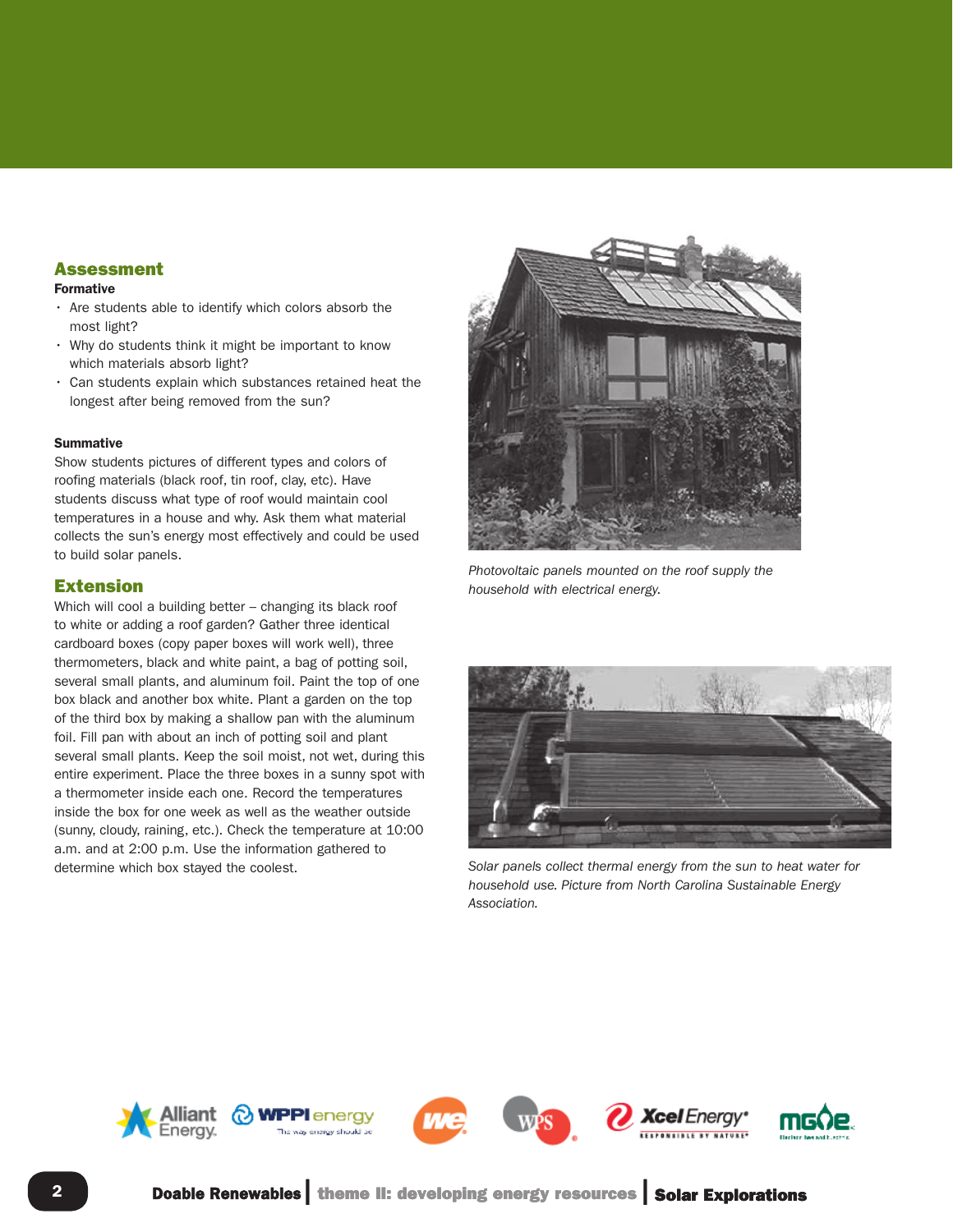## Assessment

## Formative

- Are students able to identify which colors absorb the most light?
- Why do students think it might be important to know which materials absorb light?
- Can students explain which substances retained heat the longest after being removed from the sun?

#### **Summative**

Show students pictures of different types and colors of roofing materials (black roof, tin roof, clay, etc). Have students discuss what type of roof would maintain cool temperatures in a house and why. Ask them what material collects the sun's energy most effectively and could be used to build solar panels.

## Extension

Which will cool a building better – changing its black roof to white or adding a roof garden? Gather three identical cardboard boxes (copy paper boxes will work well), three thermometers, black and white paint, a bag of potting soil, several small plants, and aluminum foil. Paint the top of one box black and another box white. Plant a garden on the top of the third box by making a shallow pan with the aluminum foil. Fill pan with about an inch of potting soil and plant several small plants. Keep the soil moist, not wet, during this entire experiment. Place the three boxes in a sunny spot with a thermometer inside each one. Record the temperatures inside the box for one week as well as the weather outside (sunny, cloudy, raining, etc.). Check the temperature at 10:00 a.m. and at 2:00 p.m. Use the information gathered to



*Photovoltaic panels mounted on the roof supply the household with electrical energy.*



determine which box stayed the coolest. *Solar panels collect thermal energy from the sun to heat water for household use. Picture from North Carolina Sustainable Energy Association.*

**icel** Energy'